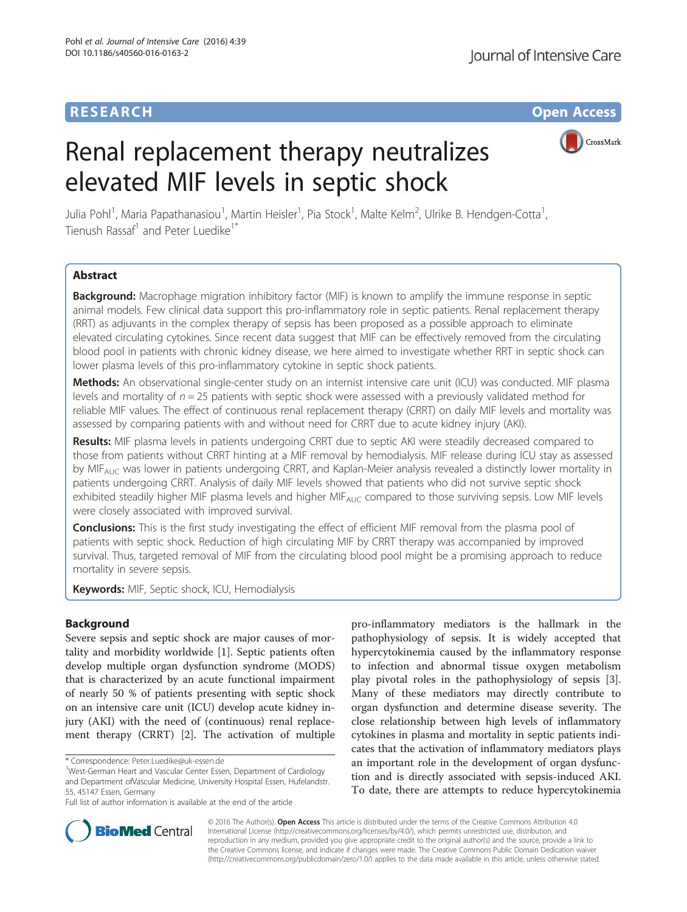## **RESEARCH CHE Open Access**

# Renal replacement therapy neutralizes elevated MIF levels in septic shock



Julia Pohl<sup>1</sup>, Maria Papathanasiou<sup>1</sup>, Martin Heisler<sup>1</sup>, Pia Stock<sup>1</sup>, Malte Kelm<sup>2</sup>, Ulrike B. Hendgen-Cotta<sup>1</sup> , Tienush Rassaf<sup>1</sup> and Peter Luedike<sup>1\*</sup>

## Abstract

**Background:** Macrophage migration inhibitory factor (MIF) is known to amplify the immune response in septic animal models. Few clinical data support this pro-inflammatory role in septic patients. Renal replacement therapy (RRT) as adjuvants in the complex therapy of sepsis has been proposed as a possible approach to eliminate elevated circulating cytokines. Since recent data suggest that MIF can be effectively removed from the circulating blood pool in patients with chronic kidney disease, we here aimed to investigate whether RRT in septic shock can lower plasma levels of this pro-inflammatory cytokine in septic shock patients.

Methods: An observational single-center study on an internist intensive care unit (ICU) was conducted. MIF plasma levels and mortality of  $n = 25$  patients with septic shock were assessed with a previously validated method for reliable MIF values. The effect of continuous renal replacement therapy (CRRT) on daily MIF levels and mortality was assessed by comparing patients with and without need for CRRT due to acute kidney injury (AKI).

Results: MIF plasma levels in patients undergoing CRRT due to septic AKI were steadily decreased compared to those from patients without CRRT hinting at a MIF removal by hemodialysis. MIF release during ICU stay as assessed by MIF<sub>AUC</sub> was lower in patients undergoing CRRT, and Kaplan-Meier analysis revealed a distinctly lower mortality in patients undergoing CRRT. Analysis of daily MIF levels showed that patients who did not survive septic shock exhibited steadily higher MIF plasma levels and higher MIF<sub>AUC</sub> compared to those surviving sepsis. Low MIF levels were closely associated with improved survival.

**Conclusions:** This is the first study investigating the effect of efficient MIF removal from the plasma pool of patients with septic shock. Reduction of high circulating MIF by CRRT therapy was accompanied by improved survival. Thus, targeted removal of MIF from the circulating blood pool might be a promising approach to reduce mortality in severe sepsis.

Keywords: MIF, Septic shock, ICU, Hemodialysis

## Background

Severe sepsis and septic shock are major causes of mortality and morbidity worldwide [[1\]](#page-5-0). Septic patients often develop multiple organ dysfunction syndrome (MODS) that is characterized by an acute functional impairment of nearly 50 % of patients presenting with septic shock on an intensive care unit (ICU) develop acute kidney injury (AKI) with the need of (continuous) renal replacement therapy (CRRT) [\[2\]](#page-5-0). The activation of multiple

pro-inflammatory mediators is the hallmark in the pathophysiology of sepsis. It is widely accepted that hypercytokinemia caused by the inflammatory response to infection and abnormal tissue oxygen metabolism play pivotal roles in the pathophysiology of sepsis [\[3](#page-5-0)]. Many of these mediators may directly contribute to organ dysfunction and determine disease severity. The close relationship between high levels of inflammatory cytokines in plasma and mortality in septic patients indicates that the activation of inflammatory mediators plays an important role in the development of organ dysfunction and is directly associated with sepsis-induced AKI. To date, there are attempts to reduce hypercytokinemia



© 2016 The Author(s). Open Access This article is distributed under the terms of the Creative Commons Attribution 4.0 International License [\(http://creativecommons.org/licenses/by/4.0/](http://creativecommons.org/licenses/by/4.0/)), which permits unrestricted use, distribution, and reproduction in any medium, provided you give appropriate credit to the original author(s) and the source, provide a link to the Creative Commons license, and indicate if changes were made. The Creative Commons Public Domain Dedication waiver [\(http://creativecommons.org/publicdomain/zero/1.0/](http://creativecommons.org/publicdomain/zero/1.0/)) applies to the data made available in this article, unless otherwise stated.

<sup>\*</sup> Correspondence: [Peter.Luedike@uk-essen.de](mailto:Peter.Luedike@uk-essen.de) <sup>1</sup>

<sup>&</sup>lt;sup>1</sup>West-German Heart and Vascular Center Essen, Department of Cardiology and Department ofVascular Medicine, University Hospital Essen, Hufelandstr. 55, 45147 Essen, Germany

Full list of author information is available at the end of the article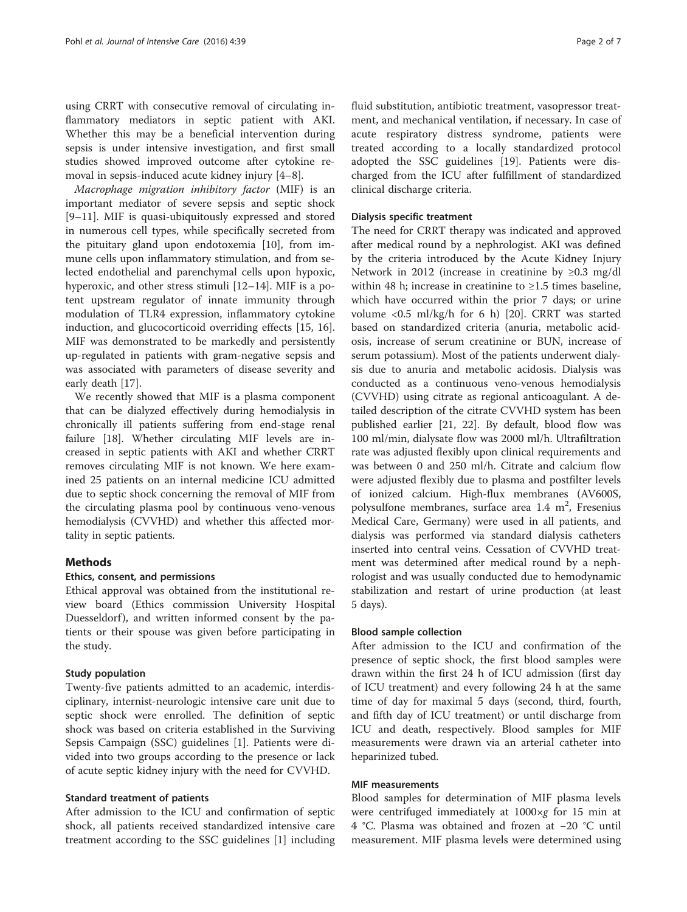using CRRT with consecutive removal of circulating inflammatory mediators in septic patient with AKI. Whether this may be a beneficial intervention during sepsis is under intensive investigation, and first small studies showed improved outcome after cytokine removal in sepsis-induced acute kidney injury [\[4](#page-5-0)–[8](#page-5-0)].

Macrophage migration inhibitory factor (MIF) is an important mediator of severe sepsis and septic shock [[9](#page-5-0)–[11\]](#page-5-0). MIF is quasi-ubiquitously expressed and stored in numerous cell types, while specifically secreted from the pituitary gland upon endotoxemia [\[10](#page-5-0)], from immune cells upon inflammatory stimulation, and from selected endothelial and parenchymal cells upon hypoxic, hyperoxic, and other stress stimuli [\[12](#page-5-0)–[14\]](#page-6-0). MIF is a potent upstream regulator of innate immunity through modulation of TLR4 expression, inflammatory cytokine induction, and glucocorticoid overriding effects [[15, 16](#page-6-0)]. MIF was demonstrated to be markedly and persistently up-regulated in patients with gram-negative sepsis and was associated with parameters of disease severity and early death [[17](#page-6-0)].

We recently showed that MIF is a plasma component that can be dialyzed effectively during hemodialysis in chronically ill patients suffering from end-stage renal failure [\[18](#page-6-0)]. Whether circulating MIF levels are increased in septic patients with AKI and whether CRRT removes circulating MIF is not known. We here examined 25 patients on an internal medicine ICU admitted due to septic shock concerning the removal of MIF from the circulating plasma pool by continuous veno-venous hemodialysis (CVVHD) and whether this affected mortality in septic patients.

## **Methods**

## Ethics, consent, and permissions

Ethical approval was obtained from the institutional review board (Ethics commission University Hospital Duesseldorf), and written informed consent by the patients or their spouse was given before participating in the study.

### Study population

Twenty-five patients admitted to an academic, interdisciplinary, internist-neurologic intensive care unit due to septic shock were enrolled. The definition of septic shock was based on criteria established in the Surviving Sepsis Campaign (SSC) guidelines [[1](#page-5-0)]. Patients were divided into two groups according to the presence or lack of acute septic kidney injury with the need for CVVHD.

#### Standard treatment of patients

After admission to the ICU and confirmation of septic shock, all patients received standardized intensive care treatment according to the SSC guidelines [[1\]](#page-5-0) including fluid substitution, antibiotic treatment, vasopressor treatment, and mechanical ventilation, if necessary. In case of acute respiratory distress syndrome, patients were treated according to a locally standardized protocol adopted the SSC guidelines [[19\]](#page-6-0). Patients were discharged from the ICU after fulfillment of standardized clinical discharge criteria.

## Dialysis specific treatment

The need for CRRT therapy was indicated and approved after medical round by a nephrologist. AKI was defined by the criteria introduced by the Acute Kidney Injury Network in 2012 (increase in creatinine by ≥0.3 mg/dl within 48 h; increase in creatinine to  $\geq 1.5$  times baseline, which have occurred within the prior 7 days; or urine volume <0.5 ml/kg/h for 6 h) [\[20](#page-6-0)]. CRRT was started based on standardized criteria (anuria, metabolic acidosis, increase of serum creatinine or BUN, increase of serum potassium). Most of the patients underwent dialysis due to anuria and metabolic acidosis. Dialysis was conducted as a continuous veno-venous hemodialysis (CVVHD) using citrate as regional anticoagulant. A detailed description of the citrate CVVHD system has been published earlier [[21](#page-6-0), [22\]](#page-6-0). By default, blood flow was 100 ml/min, dialysate flow was 2000 ml/h. Ultrafiltration rate was adjusted flexibly upon clinical requirements and was between 0 and 250 ml/h. Citrate and calcium flow were adjusted flexibly due to plasma and postfilter levels of ionized calcium. High-flux membranes (AV600S, polysulfone membranes, surface area  $1.4 \text{ m}^2$ , Fresenius Medical Care, Germany) were used in all patients, and dialysis was performed via standard dialysis catheters inserted into central veins. Cessation of CVVHD treatment was determined after medical round by a nephrologist and was usually conducted due to hemodynamic stabilization and restart of urine production (at least 5 days).

#### Blood sample collection

After admission to the ICU and confirmation of the presence of septic shock, the first blood samples were drawn within the first 24 h of ICU admission (first day of ICU treatment) and every following 24 h at the same time of day for maximal 5 days (second, third, fourth, and fifth day of ICU treatment) or until discharge from ICU and death, respectively. Blood samples for MIF measurements were drawn via an arterial catheter into heparinized tubed.

## MIF measurements

Blood samples for determination of MIF plasma levels were centrifuged immediately at 1000×g for 15 min at 4 °C. Plasma was obtained and frozen at −20 °C until measurement. MIF plasma levels were determined using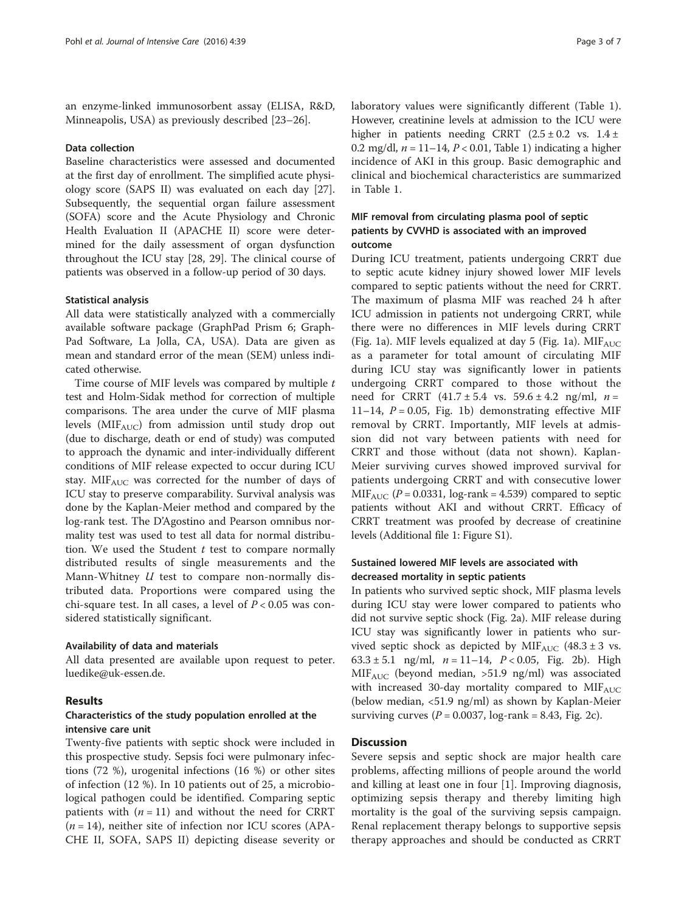an enzyme-linked immunosorbent assay (ELISA, R&D, Minneapolis, USA) as previously described [\[23](#page-6-0)–[26\]](#page-6-0).

## Data collection

Baseline characteristics were assessed and documented at the first day of enrollment. The simplified acute physiology score (SAPS II) was evaluated on each day [\[27](#page-6-0)]. Subsequently, the sequential organ failure assessment (SOFA) score and the Acute Physiology and Chronic Health Evaluation II (APACHE II) score were determined for the daily assessment of organ dysfunction throughout the ICU stay [\[28, 29](#page-6-0)]. The clinical course of patients was observed in a follow-up period of 30 days.

#### Statistical analysis

All data were statistically analyzed with a commercially available software package (GraphPad Prism 6; Graph-Pad Software, La Jolla, CA, USA). Data are given as mean and standard error of the mean (SEM) unless indicated otherwise.

Time course of MIF levels was compared by multiple t test and Holm-Sidak method for correction of multiple comparisons. The area under the curve of MIF plasma levels ( $MIF_{AUC}$ ) from admission until study drop out (due to discharge, death or end of study) was computed to approach the dynamic and inter-individually different conditions of MIF release expected to occur during ICU stay.  $MIF_{AUC}$  was corrected for the number of days of ICU stay to preserve comparability. Survival analysis was done by the Kaplan-Meier method and compared by the log-rank test. The D'Agostino and Pearson omnibus normality test was used to test all data for normal distribution. We used the Student  $t$  test to compare normally distributed results of single measurements and the Mann-Whitney  $U$  test to compare non-normally distributed data. Proportions were compared using the chi-square test. In all cases, a level of  $P < 0.05$  was considered statistically significant.

#### Availability of data and materials

All data presented are available upon request to peter. luedike@uk-essen.de.

## Results

## Characteristics of the study population enrolled at the intensive care unit

Twenty-five patients with septic shock were included in this prospective study. Sepsis foci were pulmonary infections (72 %), urogenital infections (16 %) or other sites of infection (12 %). In 10 patients out of 25, a microbiological pathogen could be identified. Comparing septic patients with  $(n = 11)$  and without the need for CRRT  $(n = 14)$ , neither site of infection nor ICU scores (APA-CHE II, SOFA, SAPS II) depicting disease severity or laboratory values were significantly different (Table [1](#page-3-0)). However, creatinine levels at admission to the ICU were higher in patients needing CRRT  $(2.5 \pm 0.2 \text{ vs. } 1.4 \pm \text{)}$ 0.2 mg/dl,  $n = 11-14$ ,  $P < 0.01$ , Table [1\)](#page-3-0) indicating a higher incidence of AKI in this group. Basic demographic and clinical and biochemical characteristics are summarized in Table [1](#page-3-0).

## MIF removal from circulating plasma pool of septic patients by CVVHD is associated with an improved outcome

During ICU treatment, patients undergoing CRRT due to septic acute kidney injury showed lower MIF levels compared to septic patients without the need for CRRT. The maximum of plasma MIF was reached 24 h after ICU admission in patients not undergoing CRRT, while there were no differences in MIF levels during CRRT (Fig. [1a\)](#page-3-0). MIF levels equalized at day 5 (Fig. 1a).  $MIF<sub>AUC</sub>$ as a parameter for total amount of circulating MIF during ICU stay was significantly lower in patients undergoing CRRT compared to those without the need for CRRT  $(41.7 \pm 5.4 \text{ vs. } 59.6 \pm 4.2 \text{ ng/ml}, n =$ 11–14,  $P = 0.05$ , Fig. [1b\)](#page-3-0) demonstrating effective MIF removal by CRRT. Importantly, MIF levels at admission did not vary between patients with need for CRRT and those without (data not shown). Kaplan-Meier surviving curves showed improved survival for patients undergoing CRRT and with consecutive lower MIF<sub>AUC</sub> ( $P = 0.0331$ , log-rank = 4.539) compared to septic patients without AKI and without CRRT. Efficacy of CRRT treatment was proofed by decrease of creatinine levels (Additional file [1:](#page-5-0) Figure S1).

## Sustained lowered MIF levels are associated with decreased mortality in septic patients

In patients who survived septic shock, MIF plasma levels during ICU stay were lower compared to patients who did not survive septic shock (Fig. [2a](#page-4-0)). MIF release during ICU stay was significantly lower in patients who survived septic shock as depicted by  $MIF_{AUC}$  (48.3 ± 3 vs. 63.3 ± 5.1 ng/ml,  $n = 11-14$ ,  $P < 0.05$ , Fig. [2b](#page-4-0)). High MIFAUC (beyond median, >51.9 ng/ml) was associated with increased 30-day mortality compared to  $MIF_{AUC}$ (below median, <51.9 ng/ml) as shown by Kaplan-Meier surviving curves ( $P = 0.0037$ , log-rank = 8.43, Fig. [2c](#page-4-0)).

## **Discussion**

Severe sepsis and septic shock are major health care problems, affecting millions of people around the world and killing at least one in four [[1\]](#page-5-0). Improving diagnosis, optimizing sepsis therapy and thereby limiting high mortality is the goal of the surviving sepsis campaign. Renal replacement therapy belongs to supportive sepsis therapy approaches and should be conducted as CRRT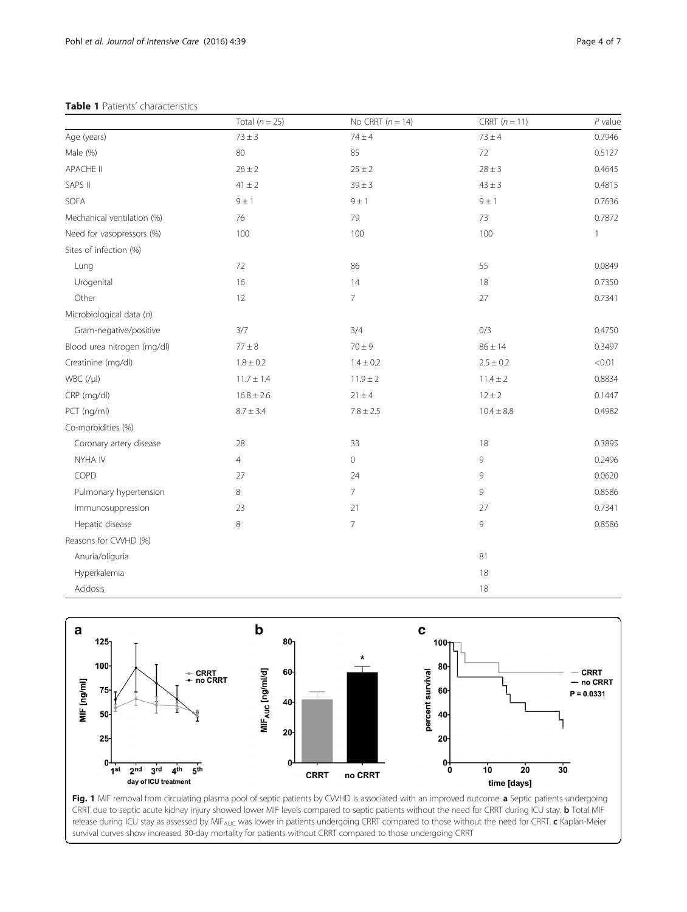## <span id="page-3-0"></span>Table 1 Patients' characteristics

|                             | Total $(n = 25)$ | No CRRT $(n = 14)$ | CRRT $(n = 11)$ | $P$ value    |
|-----------------------------|------------------|--------------------|-----------------|--------------|
| Age (years)                 | $73 \pm 3$       | $74 \pm 4$         | $73 \pm 4$      | 0.7946       |
| Male (%)                    | 80               | 85                 | 72              | 0.5127       |
| <b>APACHE II</b>            | $26 \pm 2$       | $25 \pm 2$         | $28 \pm 3$      | 0.4645       |
| SAPS II                     | $41 \pm 2$       | $39 \pm 3$         | $43 \pm 3$      | 0.4815       |
| SOFA                        | 9 ± 1            | $9 \pm 1$          | $9 \pm 1$       | 0.7636       |
| Mechanical ventilation (%)  | 76               | 79                 | 73              | 0.7872       |
| Need for vasopressors (%)   | 100              | 100                | 100             | $\mathbf{1}$ |
| Sites of infection (%)      |                  |                    |                 |              |
| Lung                        | 72               | 86                 | 55              | 0.0849       |
| Urogenital                  | 16               | 14                 | 18              | 0.7350       |
| Other                       | 12               | $\overline{7}$     | 27              | 0.7341       |
| Microbiological data (n)    |                  |                    |                 |              |
| Gram-negative/positive      | 3/7              | 3/4                | 0/3             | 0.4750       |
| Blood urea nitrogen (mg/dl) | $77 \pm 8$       | $70 \pm 9$         | $86 \pm 14$     | 0.3497       |
| Creatinine (mg/dl)          | $1.8 \pm 0.2$    | $1.4 \pm 0.2$      | $2.5 \pm 0.2$   | < 0.01       |
| $WBC$ (/ $\mu$ I)           | $11.7 \pm 1.4$   | $11.9 \pm 2$       | $11.4 \pm 2$    | 0.8834       |
| CRP (mg/dl)                 | $16.8 \pm 2.6$   | $21 \pm 4$         | $12 \pm 2$      | 0.1447       |
| PCT (ng/ml)                 | $8.7\pm3.4$      | $7.8 \pm 2.5$      | $10.4 \pm 8.8$  | 0.4982       |
| Co-morbidities (%)          |                  |                    |                 |              |
| Coronary artery disease     | 28               | 33                 | 18              | 0.3895       |
| NYHA IV                     | $\overline{4}$   | $\mathbf 0$        | 9               | 0.2496       |
| COPD                        | 27               | 24                 | 9               | 0.0620       |
| Pulmonary hypertension      | $\,8\,$          | $\overline{7}$     | 9               | 0.8586       |
| Immunosuppression           | 23               | 21                 | 27              | 0.7341       |
| Hepatic disease             | $\,8\,$          | $\overline{7}$     | 9               | 0.8586       |
| Reasons for CVVHD (%)       |                  |                    |                 |              |
| Anuria/oliguria             |                  |                    | 81              |              |
| Hyperkalemia                |                  |                    | 18              |              |
| Acidosis                    |                  |                    | 18              |              |



Fig. 1 MIF removal from circulating plasma pool of septic patients by CWHD is associated with an improved outcome. a Septic patients undergoing CRRT due to septic acute kidney injury showed lower MIF levels compared to septic patients without the need for CRRT during ICU stay. b Total MIF release during ICU stay as assessed by MIF<sub>AUC</sub> was lower in patients undergoing CRRT compared to those without the need for CRRT. c Kaplan-Meier survival curves show increased 30-day mortality for patients without CRRT compared to those undergoing CRRT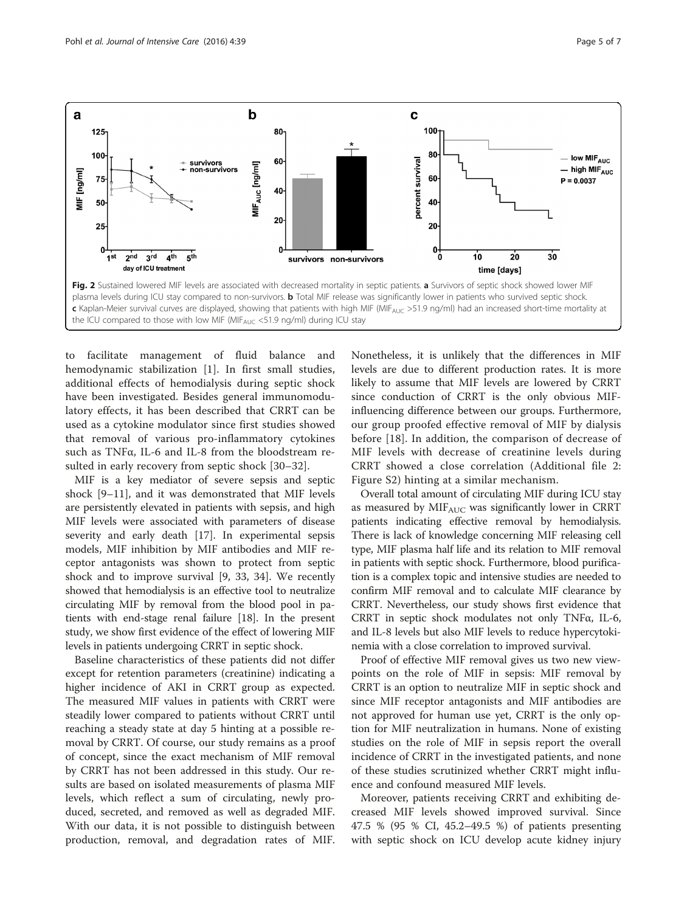<span id="page-4-0"></span>

to facilitate management of fluid balance and hemodynamic stabilization [[1\]](#page-5-0). In first small studies, additional effects of hemodialysis during septic shock have been investigated. Besides general immunomodulatory effects, it has been described that CRRT can be used as a cytokine modulator since first studies showed that removal of various pro-inflammatory cytokines such as TNFα, IL-6 and IL-8 from the bloodstream resulted in early recovery from septic shock [\[30](#page-6-0)–[32](#page-6-0)].

MIF is a key mediator of severe sepsis and septic shock [[9](#page-5-0)–[11](#page-5-0)], and it was demonstrated that MIF levels are persistently elevated in patients with sepsis, and high MIF levels were associated with parameters of disease severity and early death [[17\]](#page-6-0). In experimental sepsis models, MIF inhibition by MIF antibodies and MIF receptor antagonists was shown to protect from septic shock and to improve survival [[9,](#page-5-0) [33, 34](#page-6-0)]. We recently showed that hemodialysis is an effective tool to neutralize circulating MIF by removal from the blood pool in patients with end-stage renal failure [\[18\]](#page-6-0). In the present study, we show first evidence of the effect of lowering MIF levels in patients undergoing CRRT in septic shock.

Baseline characteristics of these patients did not differ except for retention parameters (creatinine) indicating a higher incidence of AKI in CRRT group as expected. The measured MIF values in patients with CRRT were steadily lower compared to patients without CRRT until reaching a steady state at day 5 hinting at a possible removal by CRRT. Of course, our study remains as a proof of concept, since the exact mechanism of MIF removal by CRRT has not been addressed in this study. Our results are based on isolated measurements of plasma MIF levels, which reflect a sum of circulating, newly produced, secreted, and removed as well as degraded MIF. With our data, it is not possible to distinguish between production, removal, and degradation rates of MIF. Nonetheless, it is unlikely that the differences in MIF levels are due to different production rates. It is more likely to assume that MIF levels are lowered by CRRT since conduction of CRRT is the only obvious MIFinfluencing difference between our groups. Furthermore, our group proofed effective removal of MIF by dialysis before [[18\]](#page-6-0). In addition, the comparison of decrease of MIF levels with decrease of creatinine levels during CRRT showed a close correlation (Additional file [2](#page-5-0): Figure S2) hinting at a similar mechanism.

Overall total amount of circulating MIF during ICU stay as measured by MIFAUC was significantly lower in CRRT patients indicating effective removal by hemodialysis. There is lack of knowledge concerning MIF releasing cell type, MIF plasma half life and its relation to MIF removal in patients with septic shock. Furthermore, blood purification is a complex topic and intensive studies are needed to confirm MIF removal and to calculate MIF clearance by CRRT. Nevertheless, our study shows first evidence that CRRT in septic shock modulates not only TNFα, IL-6, and IL-8 levels but also MIF levels to reduce hypercytokinemia with a close correlation to improved survival.

Proof of effective MIF removal gives us two new viewpoints on the role of MIF in sepsis: MIF removal by CRRT is an option to neutralize MIF in septic shock and since MIF receptor antagonists and MIF antibodies are not approved for human use yet, CRRT is the only option for MIF neutralization in humans. None of existing studies on the role of MIF in sepsis report the overall incidence of CRRT in the investigated patients, and none of these studies scrutinized whether CRRT might influence and confound measured MIF levels.

Moreover, patients receiving CRRT and exhibiting decreased MIF levels showed improved survival. Since 47.5 % (95 % CI, 45.2–49.5 %) of patients presenting with septic shock on ICU develop acute kidney injury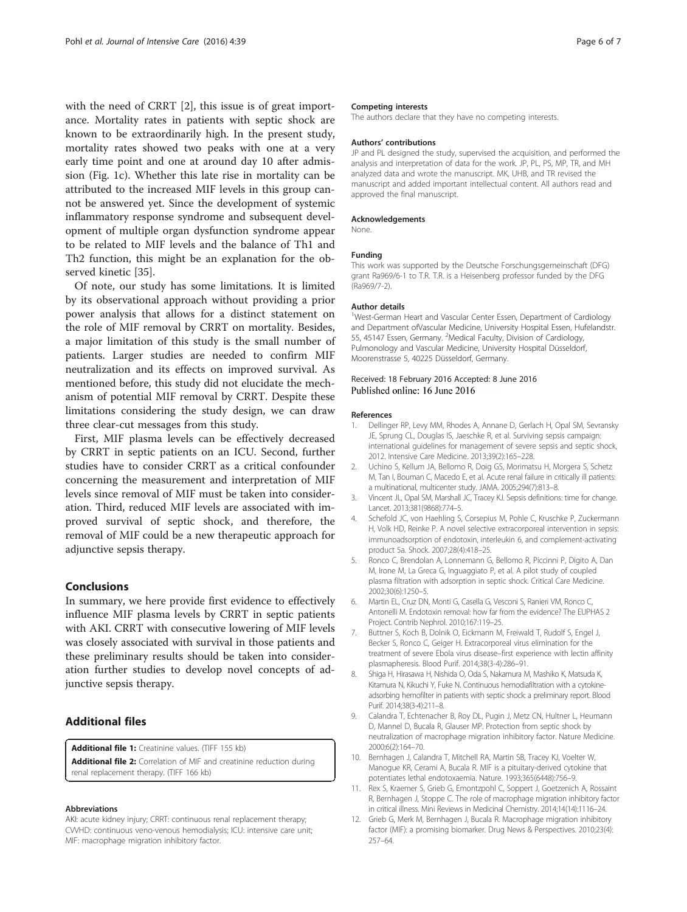<span id="page-5-0"></span>with the need of CRRT [2], this issue is of great importance. Mortality rates in patients with septic shock are known to be extraordinarily high. In the present study, mortality rates showed two peaks with one at a very early time point and one at around day 10 after admission (Fig. [1c\)](#page-3-0). Whether this late rise in mortality can be attributed to the increased MIF levels in this group cannot be answered yet. Since the development of systemic inflammatory response syndrome and subsequent development of multiple organ dysfunction syndrome appear to be related to MIF levels and the balance of Th1 and Th2 function, this might be an explanation for the observed kinetic [\[35](#page-6-0)].

Of note, our study has some limitations. It is limited by its observational approach without providing a prior power analysis that allows for a distinct statement on the role of MIF removal by CRRT on mortality. Besides, a major limitation of this study is the small number of patients. Larger studies are needed to confirm MIF neutralization and its effects on improved survival. As mentioned before, this study did not elucidate the mechanism of potential MIF removal by CRRT. Despite these limitations considering the study design, we can draw three clear-cut messages from this study.

First, MIF plasma levels can be effectively decreased by CRRT in septic patients on an ICU. Second, further studies have to consider CRRT as a critical confounder concerning the measurement and interpretation of MIF levels since removal of MIF must be taken into consideration. Third, reduced MIF levels are associated with improved survival of septic shock, and therefore, the removal of MIF could be a new therapeutic approach for adjunctive sepsis therapy.

## Conclusions

In summary, we here provide first evidence to effectively influence MIF plasma levels by CRRT in septic patients with AKI. CRRT with consecutive lowering of MIF levels was closely associated with survival in those patients and these preliminary results should be taken into consideration further studies to develop novel concepts of adjunctive sepsis therapy.

## Additional files

[Additional file 1:](dx.doi.org/10.1186/s40560-016-0163-2) Creatinine values. (TIFF 155 kb)

[Additional file 2:](dx.doi.org/10.1186/s40560-016-0163-2) Correlation of MIF and creatinine reduction during renal replacement therapy. (TIFF 166 kb)

#### Abbreviations

AKI: acute kidney injury; CRRT: continuous renal replacement therapy; CVVHD: continuous veno-venous hemodialysis; ICU: intensive care unit; MIF: macrophage migration inhibitory factor.

#### Competing interests

The authors declare that they have no competing interests.

#### Authors' contributions

JP and PL designed the study, supervised the acquisition, and performed the analysis and interpretation of data for the work. JP, PL, PS, MP, TR, and MH analyzed data and wrote the manuscript. MK, UHB, and TR revised the manuscript and added important intellectual content. All authors read and approved the final manuscript.

#### Acknowledgements

None.

#### Funding

This work was supported by the Deutsche Forschungsgemeinschaft (DFG) grant Ra969/6-1 to T.R. T.R. is a Heisenberg professor funded by the DFG (Ra969/7-2).

#### Author details

<sup>1</sup>West-German Heart and Vascular Center Essen, Department of Cardiology and Department ofVascular Medicine, University Hospital Essen, Hufelandstr. 55, 45147 Essen, Germany. <sup>2</sup>Medical Faculty, Division of Cardiology Pulmonology and Vascular Medicine, University Hospital Düsseldorf, Moorenstrasse 5, 40225 Düsseldorf, Germany.

## Received: 18 February 2016 Accepted: 8 June 2016 Published online: 16 June 2016

#### References

- Dellinger RP, Levy MM, Rhodes A, Annane D, Gerlach H, Opal SM, Sevransky JE, Sprung CL, Douglas IS, Jaeschke R, et al. Surviving sepsis campaign: international guidelines for management of severe sepsis and septic shock, 2012. Intensive Care Medicine. 2013;39(2):165–228.
- 2. Uchino S, Kellum JA, Bellomo R, Doig GS, Morimatsu H, Morgera S, Schetz M, Tan I, Bouman C, Macedo E, et al. Acute renal failure in critically ill patients: a multinational, multicenter study. JAMA. 2005;294(7):813–8.
- 3. Vincent JL, Opal SM, Marshall JC, Tracey KJ. Sepsis definitions: time for change. Lancet. 2013;381(9868):774–5.
- 4. Schefold JC, von Haehling S, Corsepius M, Pohle C, Kruschke P, Zuckermann H, Volk HD, Reinke P. A novel selective extracorporeal intervention in sepsis: immunoadsorption of endotoxin, interleukin 6, and complement-activating product 5a. Shock. 2007;28(4):418–25.
- 5. Ronco C, Brendolan A, Lonnemann G, Bellomo R, Piccinni P, Digito A, Dan M, Irone M, La Greca G, Inguaggiato P, et al. A pilot study of coupled plasma filtration with adsorption in septic shock. Critical Care Medicine. 2002;30(6):1250–5.
- 6. Martin EL, Cruz DN, Monti G, Casella G, Vesconi S, Ranieri VM, Ronco C, Antonelli M. Endotoxin removal: how far from the evidence? The EUPHAS 2 Project. Contrib Nephrol. 2010;167:119–25.
- 7. Buttner S, Koch B, Dolnik O, Eickmann M, Freiwald T, Rudolf S, Engel J, Becker S, Ronco C, Geiger H. Extracorporeal virus elimination for the treatment of severe Ebola virus disease–first experience with lectin affinity plasmapheresis. Blood Purif. 2014;38(3-4):286–91.
- 8. Shiga H, Hirasawa H, Nishida O, Oda S, Nakamura M, Mashiko K, Matsuda K, Kitamura N, Kikuchi Y, Fuke N. Continuous hemodiafiltration with a cytokineadsorbing hemofilter in patients with septic shock: a preliminary report. Blood Purif. 2014;38(3-4):211–8.
- 9. Calandra T, Echtenacher B, Roy DL, Pugin J, Metz CN, Hultner L, Heumann D, Mannel D, Bucala R, Glauser MP. Protection from septic shock by neutralization of macrophage migration inhibitory factor. Nature Medicine. 2000;6(2):164–70.
- 10. Bernhagen J, Calandra T, Mitchell RA, Martin SB, Tracey KJ, Voelter W, Manogue KR, Cerami A, Bucala R. MIF is a pituitary-derived cytokine that potentiates lethal endotoxaemia. Nature. 1993;365(6448):756–9.
- 11. Rex S, Kraemer S, Grieb G, Emontzpohl C, Soppert J, Goetzenich A, Rossaint R, Bernhagen J, Stoppe C. The role of macrophage migration inhibitory factor in critical illness. Mini Reviews in Medicinal Chemistry. 2014;14(14):1116–24.
- 12. Grieb G, Merk M, Bernhagen J, Bucala R. Macrophage migration inhibitory factor (MIF): a promising biomarker. Drug News & Perspectives. 2010;23(4): 257–64.